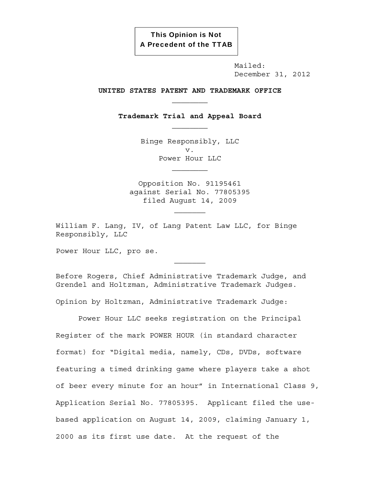This Opinion is Not A Precedent of the TTAB

> Mailed: December 31, 2012

### **UNITED STATES PATENT AND TRADEMARK OFFICE**

**Trademark Trial and Appeal Board** 

Binge Responsibly, LLC v. Power Hour LLC  $\mathcal{L}_\text{max}$ 

Opposition No. 91195461 against Serial No. 77805395 filed August 14, 2009

William F. Lang, IV, of Lang Patent Law LLC, for Binge Responsibly, LLC

Power Hour LLC, pro se.

Before Rogers, Chief Administrative Trademark Judge, and Grendel and Holtzman, Administrative Trademark Judges.

Opinion by Holtzman, Administrative Trademark Judge:

Power Hour LLC seeks registration on the Principal Register of the mark POWER HOUR (in standard character format) for "Digital media, namely, CDs, DVDs, software featuring a timed drinking game where players take a shot of beer every minute for an hour" in International Class 9, Application Serial No. 77805395. Applicant filed the usebased application on August 14, 2009, claiming January 1, 2000 as its first use date. At the request of the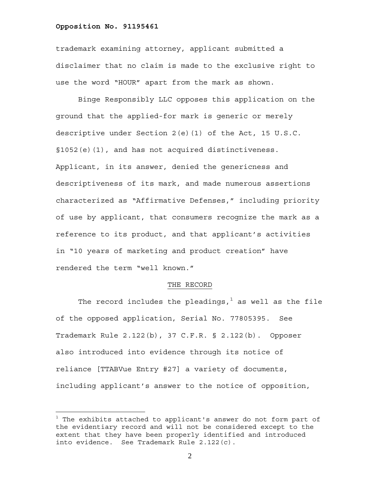$\overline{a}$ 

trademark examining attorney, applicant submitted a disclaimer that no claim is made to the exclusive right to use the word "HOUR" apart from the mark as shown.

Binge Responsibly LLC opposes this application on the ground that the applied-for mark is generic or merely descriptive under Section 2(e)(1) of the Act, 15 U.S.C. §1052(e)(1), and has not acquired distinctiveness. Applicant, in its answer, denied the genericness and descriptiveness of its mark, and made numerous assertions characterized as "Affirmative Defenses," including priority of use by applicant, that consumers recognize the mark as a reference to its product, and that applicant's activities in "10 years of marketing and product creation" have rendered the term "well known."

#### THE RECORD

The record includes the pleadings, $^1$  as well as the file of the opposed application, Serial No. 77805395. See Trademark Rule 2.122(b), 37 C.F.R. § 2.122(b). Opposer also introduced into evidence through its notice of reliance [TTABVue Entry #27] a variety of documents, including applicant's answer to the notice of opposition,

 $^{\rm 1}$  The exhibits attached to applicant's answer do not form part of the evidentiary record and will not be considered except to the extent that they have been properly identified and introduced into evidence. See Trademark Rule 2.122(c).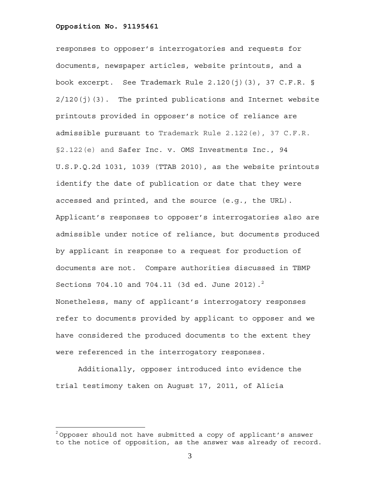$\overline{a}$ 

responses to opposer's interrogatories and requests for documents, newspaper articles, website printouts, and a book excerpt. See Trademark Rule 2.120(j)(3), 37 C.F.R. §  $2/120$ (j)(3). The printed publications and Internet website printouts provided in opposer's notice of reliance are admissible pursuant to Trademark Rule 2.122(e), 37 C.F.R. §2.122(e) and Safer Inc. v. OMS Investments Inc., 94 U.S.P.Q.2d 1031, 1039 (TTAB 2010), as the website printouts identify the date of publication or date that they were accessed and printed, and the source (e.g., the URL). Applicant's responses to opposer's interrogatories also are admissible under notice of reliance, but documents produced by applicant in response to a request for production of documents are not. Compare authorities discussed in TBMP Sections 704.10 and 704.11 (3d ed. June 2012). $^{2}$ Nonetheless, many of applicant's interrogatory responses refer to documents provided by applicant to opposer and we have considered the produced documents to the extent they were referenced in the interrogatory responses.

Additionally, opposer introduced into evidence the trial testimony taken on August 17, 2011, of Alicia

 $2$ Opposer should not have submitted a copy of applicant's answer to the notice of opposition, as the answer was already of record.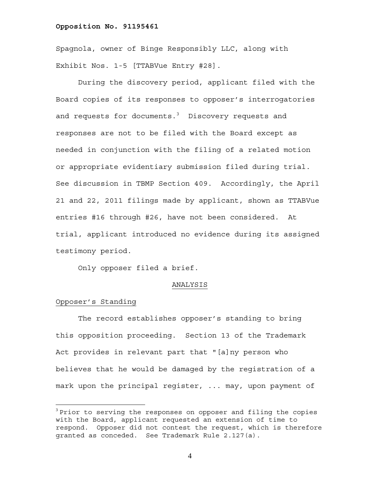Spagnola, owner of Binge Responsibly LLC, along with Exhibit Nos. 1-5 [TTABVue Entry #28].

During the discovery period, applicant filed with the Board copies of its responses to opposer's interrogatories and requests for documents. $^3$  Discovery requests and responses are not to be filed with the Board except as needed in conjunction with the filing of a related motion or appropriate evidentiary submission filed during trial. See discussion in TBMP Section 409. Accordingly, the April 21 and 22, 2011 filings made by applicant, shown as TTABVue entries #16 through #26, have not been considered. At trial, applicant introduced no evidence during its assigned testimony period.

Only opposer filed a brief.

#### ANALYSIS

## Opposer's Standing

 $\overline{a}$ 

The record establishes opposer's standing to bring this opposition proceeding. Section 13 of the Trademark Act provides in relevant part that "[a]ny person who believes that he would be damaged by the registration of a mark upon the principal register, ... may, upon payment of

 $3$  Prior to serving the responses on opposer and filing the copies with the Board, applicant requested an extension of time to respond. Opposer did not contest the request, which is therefore granted as conceded. See Trademark Rule 2.127(a).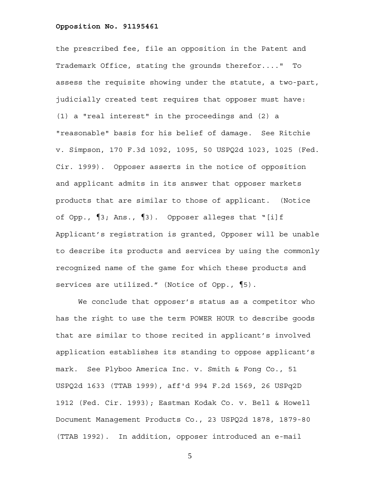the prescribed fee, file an opposition in the Patent and Trademark Office, stating the grounds therefor...." To assess the requisite showing under the statute, a two-part, judicially created test requires that opposer must have: (1) a "real interest" in the proceedings and (2) a "reasonable" basis for his belief of damage. See Ritchie v. Simpson, 170 F.3d 1092, 1095, 50 USPQ2d 1023, 1025 (Fed. Cir. 1999). Opposer asserts in the notice of opposition and applicant admits in its answer that opposer markets products that are similar to those of applicant. (Notice of Opp., ¶3; Ans., ¶3). Opposer alleges that "[i]f Applicant's registration is granted, Opposer will be unable to describe its products and services by using the commonly recognized name of the game for which these products and services are utilized." (Notice of Opp.,  $\P$ 5).

We conclude that opposer's status as a competitor who has the right to use the term POWER HOUR to describe goods that are similar to those recited in applicant's involved application establishes its standing to oppose applicant's mark. See Plyboo America Inc. v. Smith & Fong Co., 51 USPQ2d 1633 (TTAB 1999), aff'd 994 F.2d 1569, 26 USPq2D 1912 (Fed. Cir. 1993); Eastman Kodak Co. v. Bell & Howell Document Management Products Co., 23 USPQ2d 1878, 1879-80 (TTAB 1992). In addition, opposer introduced an e-mail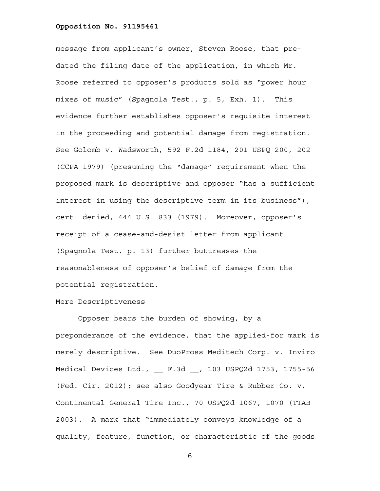message from applicant's owner, Steven Roose, that predated the filing date of the application, in which Mr. Roose referred to opposer's products sold as "power hour mixes of music" (Spagnola Test., p. 5, Exh. 1). This evidence further establishes opposer's requisite interest in the proceeding and potential damage from registration. See Golomb v. Wadsworth, 592 F.2d 1184, 201 USPQ 200, 202 (CCPA 1979) (presuming the "damage" requirement when the proposed mark is descriptive and opposer "has a sufficient interest in using the descriptive term in its business"), cert. denied, 444 U.S. 833 (1979). Moreover, opposer's receipt of a cease-and-desist letter from applicant (Spagnola Test. p. 13) further buttresses the reasonableness of opposer's belief of damage from the potential registration.

## Mere Descriptiveness

Opposer bears the burden of showing, by a preponderance of the evidence, that the applied-for mark is merely descriptive. See DuoPross Meditech Corp. v. Inviro Medical Devices Ltd., \_\_ F.3d \_\_, 103 USPQ2d 1753, 1755-56 (Fed. Cir. 2012); see also Goodyear Tire & Rubber Co. v. Continental General Tire Inc., 70 USPQ2d 1067, 1070 (TTAB 2003). A mark that "immediately conveys knowledge of a quality, feature, function, or characteristic of the goods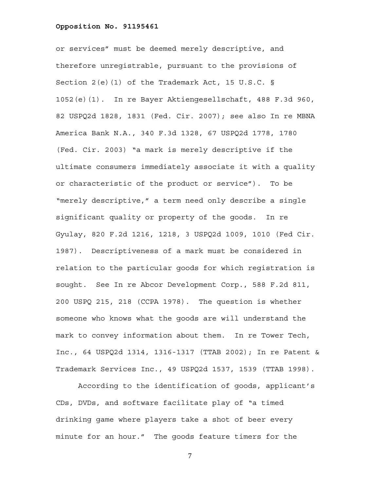or services" must be deemed merely descriptive, and therefore unregistrable, pursuant to the provisions of Section 2(e)(1) of the Trademark Act, 15 U.S.C. § 1052(e)(1). In re Bayer Aktiengesellschaft, 488 F.3d 960, 82 USPQ2d 1828, 1831 (Fed. Cir. 2007); see also In re MBNA America Bank N.A., 340 F.3d 1328, 67 USPQ2d 1778, 1780 (Fed. Cir. 2003) "a mark is merely descriptive if the ultimate consumers immediately associate it with a quality or characteristic of the product or service"). To be "merely descriptive," a term need only describe a single significant quality or property of the goods. In re Gyulay, 820 F.2d 1216, 1218, 3 USPQ2d 1009, 1010 (Fed Cir. 1987). Descriptiveness of a mark must be considered in relation to the particular goods for which registration is sought. See In re Abcor Development Corp., 588 F.2d 811, 200 USPQ 215, 218 (CCPA 1978). The question is whether someone who knows what the goods are will understand the mark to convey information about them. In re Tower Tech, Inc., 64 USPQ2d 1314, 1316-1317 (TTAB 2002); In re Patent & Trademark Services Inc., 49 USPQ2d 1537, 1539 (TTAB 1998).

According to the identification of goods, applicant's CDs, DVDs, and software facilitate play of "a timed drinking game where players take a shot of beer every minute for an hour." The goods feature timers for the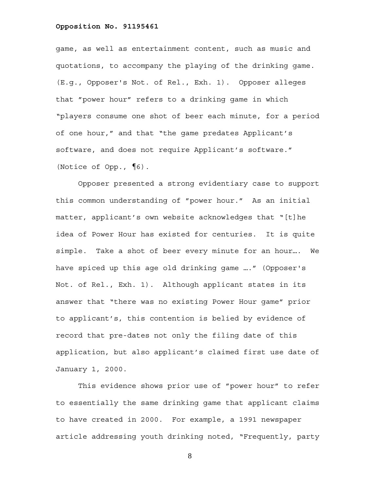game, as well as entertainment content, such as music and quotations, to accompany the playing of the drinking game. (E.g., Opposer's Not. of Rel., Exh. 1). Opposer alleges that "power hour" refers to a drinking game in which "players consume one shot of beer each minute, for a period of one hour," and that "the game predates Applicant's software, and does not require Applicant's software." (Notice of Opp., ¶6).

Opposer presented a strong evidentiary case to support this common understanding of "power hour." As an initial matter, applicant's own website acknowledges that "[t]he idea of Power Hour has existed for centuries. It is quite simple. Take a shot of beer every minute for an hour…. We have spiced up this age old drinking game …." (Opposer's Not. of Rel., Exh. 1). Although applicant states in its answer that "there was no existing Power Hour game" prior to applicant's, this contention is belied by evidence of record that pre-dates not only the filing date of this application, but also applicant's claimed first use date of January 1, 2000.

This evidence shows prior use of "power hour" to refer to essentially the same drinking game that applicant claims to have created in 2000. For example, a 1991 newspaper article addressing youth drinking noted, "Frequently, party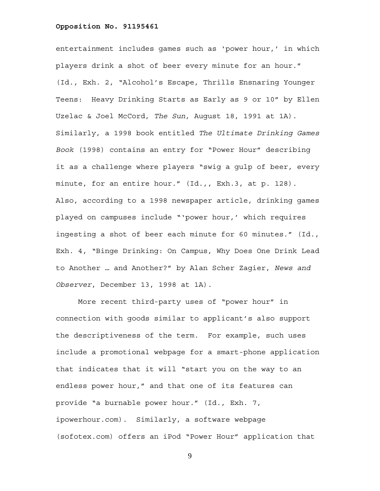entertainment includes games such as 'power hour,' in which players drink a shot of beer every minute for an hour." (Id., Exh. 2, "Alcohol's Escape, Thrills Ensnaring Younger Teens: Heavy Drinking Starts as Early as 9 or 10" by Ellen Uzelac & Joel McCord, *The Sun*, August 18, 1991 at 1A). Similarly, a 1998 book entitled *The Ultimate Drinking Games Book* (1998) contains an entry for "Power Hour" describing it as a challenge where players "swig a gulp of beer, every minute, for an entire hour." (Id.,, Exh.3, at p. 128). Also, according to a 1998 newspaper article, drinking games played on campuses include "'power hour,' which requires ingesting a shot of beer each minute for 60 minutes." (Id., Exh. 4, "Binge Drinking: On Campus, Why Does One Drink Lead to Another … and Another?" by Alan Scher Zagier, *News and Observer*, December 13, 1998 at 1A).

More recent third-party uses of "power hour" in connection with goods similar to applicant's also support the descriptiveness of the term. For example, such uses include a promotional webpage for a smart-phone application that indicates that it will "start you on the way to an endless power hour," and that one of its features can provide "a burnable power hour." (Id., Exh. 7, ipowerhour.com). Similarly, a software webpage (sofotex.com) offers an iPod "Power Hour" application that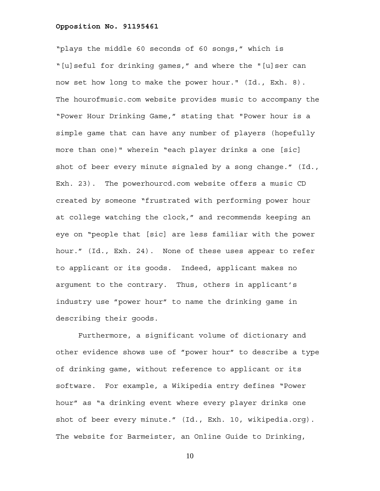"plays the middle 60 seconds of 60 songs," which is "[u]seful for drinking games," and where the "[u]ser can now set how long to make the power hour." (Id., Exh. 8). The hourofmusic.com website provides music to accompany the "Power Hour Drinking Game," stating that "Power hour is a simple game that can have any number of players (hopefully more than one)" wherein "each player drinks a one [sic] shot of beer every minute signaled by a song change." (Id., Exh. 23). The powerhourcd.com website offers a music CD created by someone "frustrated with performing power hour at college watching the clock," and recommends keeping an eye on "people that [sic] are less familiar with the power hour." (Id., Exh. 24). None of these uses appear to refer to applicant or its goods. Indeed, applicant makes no argument to the contrary. Thus, others in applicant's industry use "power hour" to name the drinking game in describing their goods.

Furthermore, a significant volume of dictionary and other evidence shows use of "power hour" to describe a type of drinking game, without reference to applicant or its software. For example, a Wikipedia entry defines "Power hour" as "a drinking event where every player drinks one shot of beer every minute." (Id., Exh. 10, wikipedia.org). The website for Barmeister, an Online Guide to Drinking,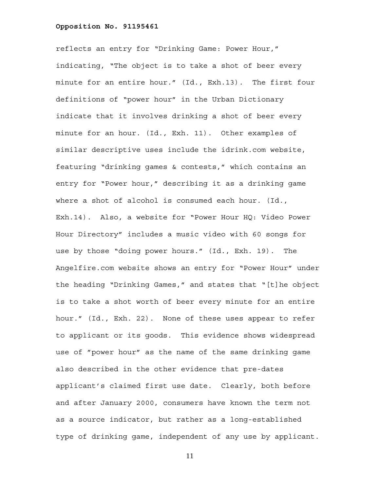reflects an entry for "Drinking Game: Power Hour," indicating, "The object is to take a shot of beer every minute for an entire hour." (Id., Exh.13). The first four definitions of "power hour" in the Urban Dictionary indicate that it involves drinking a shot of beer every minute for an hour. (Id., Exh. 11). Other examples of similar descriptive uses include the idrink.com website, featuring "drinking games & contests," which contains an entry for "Power hour," describing it as a drinking game where a shot of alcohol is consumed each hour. (Id., Exh.14). Also, a website for "Power Hour HQ: Video Power Hour Directory" includes a music video with 60 songs for use by those "doing power hours." (Id., Exh. 19). The Angelfire.com website shows an entry for "Power Hour" under the heading "Drinking Games," and states that "[t]he object is to take a shot worth of beer every minute for an entire hour." (Id., Exh. 22). None of these uses appear to refer to applicant or its goods. This evidence shows widespread use of "power hour" as the name of the same drinking game also described in the other evidence that pre-dates applicant's claimed first use date. Clearly, both before and after January 2000, consumers have known the term not as a source indicator, but rather as a long-established type of drinking game, independent of any use by applicant.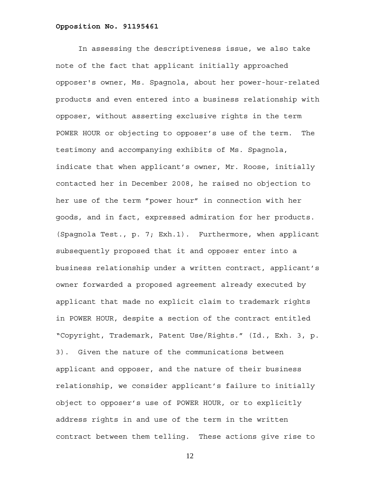In assessing the descriptiveness issue, we also take note of the fact that applicant initially approached opposer's owner, Ms. Spagnola, about her power-hour-related products and even entered into a business relationship with opposer, without asserting exclusive rights in the term POWER HOUR or objecting to opposer's use of the term. The testimony and accompanying exhibits of Ms. Spagnola, indicate that when applicant's owner, Mr. Roose, initially contacted her in December 2008, he raised no objection to her use of the term "power hour" in connection with her goods, and in fact, expressed admiration for her products. (Spagnola Test., p. 7; Exh.1). Furthermore, when applicant subsequently proposed that it and opposer enter into a business relationship under a written contract, applicant's owner forwarded a proposed agreement already executed by applicant that made no explicit claim to trademark rights in POWER HOUR, despite a section of the contract entitled "Copyright, Trademark, Patent Use/Rights." (Id., Exh. 3, p. 3). Given the nature of the communications between applicant and opposer, and the nature of their business relationship, we consider applicant's failure to initially object to opposer's use of POWER HOUR, or to explicitly address rights in and use of the term in the written contract between them telling. These actions give rise to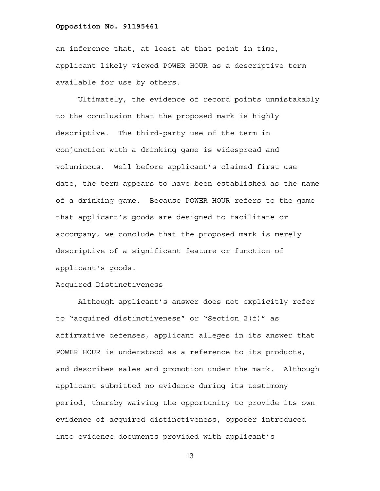an inference that, at least at that point in time, applicant likely viewed POWER HOUR as a descriptive term available for use by others.

Ultimately, the evidence of record points unmistakably to the conclusion that the proposed mark is highly descriptive. The third-party use of the term in conjunction with a drinking game is widespread and voluminous. Well before applicant's claimed first use date, the term appears to have been established as the name of a drinking game. Because POWER HOUR refers to the game that applicant's goods are designed to facilitate or accompany, we conclude that the proposed mark is merely descriptive of a significant feature or function of applicant's goods.

# Acquired Distinctiveness

Although applicant's answer does not explicitly refer to "acquired distinctiveness" or "Section 2(f)" as affirmative defenses, applicant alleges in its answer that POWER HOUR is understood as a reference to its products, and describes sales and promotion under the mark. Although applicant submitted no evidence during its testimony period, thereby waiving the opportunity to provide its own evidence of acquired distinctiveness, opposer introduced into evidence documents provided with applicant's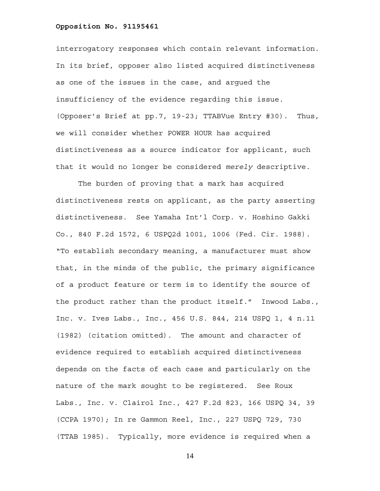interrogatory responses which contain relevant information. In its brief, opposer also listed acquired distinctiveness as one of the issues in the case, and argued the insufficiency of the evidence regarding this issue. (Opposer's Brief at pp.7, 19-23; TTABVue Entry #30). Thus, we will consider whether POWER HOUR has acquired distinctiveness as a source indicator for applicant, such that it would no longer be considered *merely* descriptive.

The burden of proving that a mark has acquired distinctiveness rests on applicant, as the party asserting distinctiveness. See Yamaha Int'l Corp. v. Hoshino Gakki Co., 840 F.2d 1572, 6 USPQ2d 1001, 1006 (Fed. Cir. 1988). "To establish secondary meaning, a manufacturer must show that, in the minds of the public, the primary significance of a product feature or term is to identify the source of the product rather than the product itself." Inwood Labs., Inc. v. Ives Labs., Inc., 456 U.S. 844, 214 USPQ 1, 4 n.11 (1982) (citation omitted). The amount and character of evidence required to establish acquired distinctiveness depends on the facts of each case and particularly on the nature of the mark sought to be registered. See Roux Labs., Inc. v. Clairol Inc., 427 F.2d 823, 166 USPQ 34, 39 (CCPA 1970); In re Gammon Reel, Inc., 227 USPQ 729, 730 (TTAB 1985). Typically, more evidence is required when a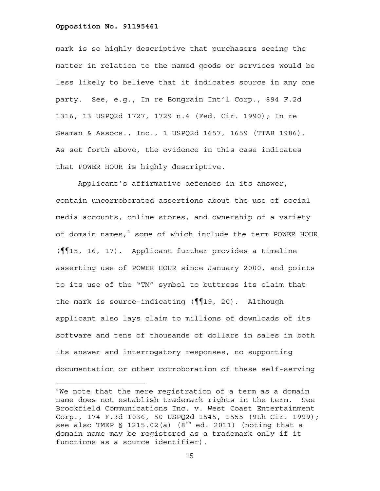$\overline{a}$ 

mark is so highly descriptive that purchasers seeing the matter in relation to the named goods or services would be less likely to believe that it indicates source in any one party. See, e.g., In re Bongrain Int'l Corp., 894 F.2d 1316, 13 USPQ2d 1727, 1729 n.4 (Fed. Cir. 1990); In re Seaman & Assocs., Inc., 1 USPQ2d 1657, 1659 (TTAB 1986). As set forth above, the evidence in this case indicates that POWER HOUR is highly descriptive.

Applicant's affirmative defenses in its answer, contain uncorroborated assertions about the use of social media accounts, online stores, and ownership of a variety of domain names,<sup>4</sup> some of which include the term POWER HOUR (¶¶15, 16, 17). Applicant further provides a timeline asserting use of POWER HOUR since January 2000, and points to its use of the "TM" symbol to buttress its claim that the mark is source-indicating (¶¶19, 20). Although applicant also lays claim to millions of downloads of its software and tens of thousands of dollars in sales in both its answer and interrogatory responses, no supporting documentation or other corroboration of these self-serving

 $4$ We note that the mere registration of a term as a domain name does not establish trademark rights in the term. See Brookfield Communications Inc. v. West Coast Entertainment Corp., 174 F.3d 1036, 50 USPQ2d 1545, 1555 (9th Cir. 1999); see also TMEP § 1215.02(a)  $(8<sup>th</sup>$  ed. 2011) (noting that a domain name may be registered as a trademark only if it functions as a source identifier).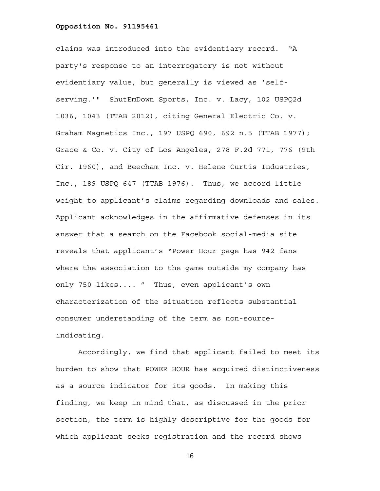claims was introduced into the evidentiary record. "A party's response to an interrogatory is not without evidentiary value, but generally is viewed as 'selfserving.'" ShutEmDown Sports, Inc. v. Lacy, 102 USPQ2d 1036, 1043 (TTAB 2012), citing General Electric Co. v. Graham Magnetics Inc., 197 USPQ 690, 692 n.5 (TTAB 1977); Grace & Co. v. City of Los Angeles, 278 F.2d 771, 776 (9th Cir. 1960), and Beecham Inc. v. Helene Curtis Industries, Inc., 189 USPQ 647 (TTAB 1976). Thus, we accord little weight to applicant's claims regarding downloads and sales. Applicant acknowledges in the affirmative defenses in its answer that a search on the Facebook social-media site reveals that applicant's "Power Hour page has 942 fans where the association to the game outside my company has only 750 likes.... " Thus, even applicant's own characterization of the situation reflects substantial consumer understanding of the term as non-sourceindicating.

Accordingly, we find that applicant failed to meet its burden to show that POWER HOUR has acquired distinctiveness as a source indicator for its goods. In making this finding, we keep in mind that, as discussed in the prior section, the term is highly descriptive for the goods for which applicant seeks registration and the record shows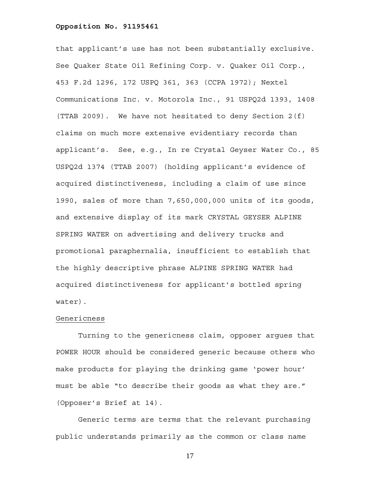that applicant's use has not been substantially exclusive. See Quaker State Oil Refining Corp. v. Quaker Oil Corp., 453 F.2d 1296, 172 USPQ 361, 363 (CCPA 1972); Nextel Communications Inc. v. Motorola Inc., 91 USPQ2d 1393, 1408 (TTAB 2009). We have not hesitated to deny Section 2(f) claims on much more extensive evidentiary records than applicant's. See, e.g., In re Crystal Geyser Water Co., 85 USPQ2d 1374 (TTAB 2007) (holding applicant's evidence of acquired distinctiveness, including a claim of use since 1990, sales of more than 7,650,000,000 units of its goods, and extensive display of its mark CRYSTAL GEYSER ALPINE SPRING WATER on advertising and delivery trucks and promotional paraphernalia, insufficient to establish that the highly descriptive phrase ALPINE SPRING WATER had acquired distinctiveness for applicant's bottled spring water).

# Genericness

Turning to the genericness claim, opposer argues that POWER HOUR should be considered generic because others who make products for playing the drinking game 'power hour' must be able "to describe their goods as what they are." (Opposer's Brief at 14).

Generic terms are terms that the relevant purchasing public understands primarily as the common or class name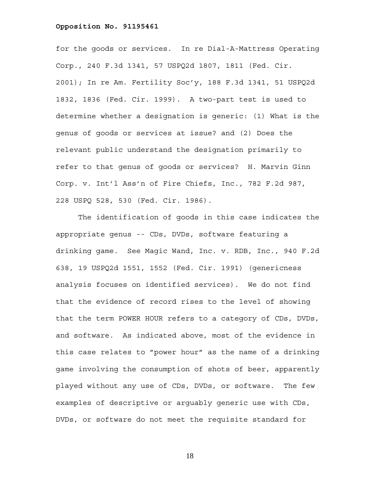for the goods or services. In re Dial-A-Mattress Operating Corp., 240 F.3d 1341, 57 USPQ2d 1807, 1811 (Fed. Cir. 2001); In re Am. Fertility Soc'y, 188 F.3d 1341, 51 USPQ2d 1832, 1836 (Fed. Cir. 1999). A two-part test is used to determine whether a designation is generic: (1) What is the genus of goods or services at issue? and (2) Does the relevant public understand the designation primarily to refer to that genus of goods or services? H. Marvin Ginn Corp. v. Int'l Ass'n of Fire Chiefs, Inc., 782 F.2d 987, 228 USPQ 528, 530 (Fed. Cir. 1986).

The identification of goods in this case indicates the appropriate genus -- CDs, DVDs, software featuring a drinking game. See Magic Wand, Inc. v. RDB, Inc., 940 F.2d 638, 19 USPQ2d 1551, 1552 (Fed. Cir. 1991) (genericness analysis focuses on identified services). We do not find that the evidence of record rises to the level of showing that the term POWER HOUR refers to a category of CDs, DVDs, and software. As indicated above, most of the evidence in this case relates to "power hour" as the name of a drinking game involving the consumption of shots of beer, apparently played without any use of CDs, DVDs, or software. The few examples of descriptive or arguably generic use with CDs, DVDs, or software do not meet the requisite standard for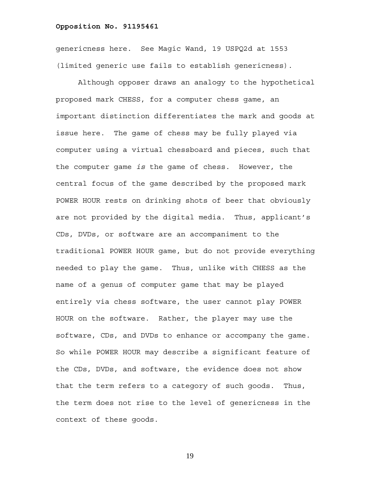genericness here. See Magic Wand, 19 USPQ2d at 1553 (limited generic use fails to establish genericness).

Although opposer draws an analogy to the hypothetical proposed mark CHESS, for a computer chess game, an important distinction differentiates the mark and goods at issue here. The game of chess may be fully played via computer using a virtual chessboard and pieces, such that the computer game *is* the game of chess. However, the central focus of the game described by the proposed mark POWER HOUR rests on drinking shots of beer that obviously are not provided by the digital media. Thus, applicant's CDs, DVDs, or software are an accompaniment to the traditional POWER HOUR game, but do not provide everything needed to play the game. Thus, unlike with CHESS as the name of a genus of computer game that may be played entirely via chess software, the user cannot play POWER HOUR on the software. Rather, the player may use the software, CDs, and DVDs to enhance or accompany the game. So while POWER HOUR may describe a significant feature of the CDs, DVDs, and software, the evidence does not show that the term refers to a category of such goods. Thus, the term does not rise to the level of genericness in the context of these goods.